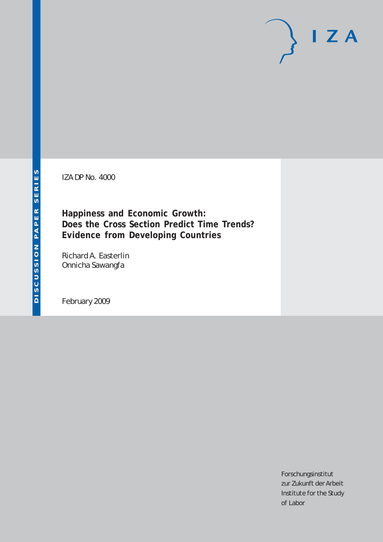IZA DP No. 4000

**Happiness and Economic Growth: Does the Cross Section Predict Time Trends? Evidence from Developing Countries**

Richard A. Easterlin Onnicha Sawangfa

February 2009

Forschungsinstitut zur Zukunft der Arbeit Institute for the Study of Labor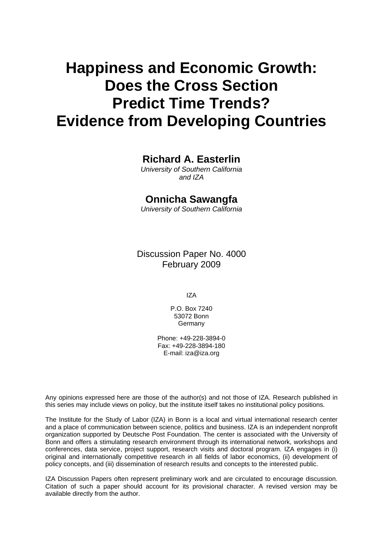# **Happiness and Economic Growth: Does the Cross Section Predict Time Trends? Evidence from Developing Countries**

# **Richard A. Easterlin**

*University of Southern California and IZA* 

# **Onnicha Sawangfa**

*University of Southern California* 

Discussion Paper No. 4000 February 2009

IZA

P.O. Box 7240 53072 Bonn Germany

Phone: +49-228-3894-0 Fax: +49-228-3894-180 E-mail: [iza@iza.org](mailto:iza@iza.org) 

Any opinions expressed here are those of the author(s) and not those of IZA. Research published in this series may include views on policy, but the institute itself takes no institutional policy positions.

The Institute for the Study of Labor (IZA) in Bonn is a local and virtual international research center and a place of communication between science, politics and business. IZA is an independent nonprofit organization supported by Deutsche Post Foundation. The center is associated with the University of Bonn and offers a stimulating research environment through its international network, workshops and conferences, data service, project support, research visits and doctoral program. IZA engages in (i) original and internationally competitive research in all fields of labor economics, (ii) development of policy concepts, and (iii) dissemination of research results and concepts to the interested public.

IZA Discussion Papers often represent preliminary work and are circulated to encourage discussion. Citation of such a paper should account for its provisional character. A revised version may be available directly from the author.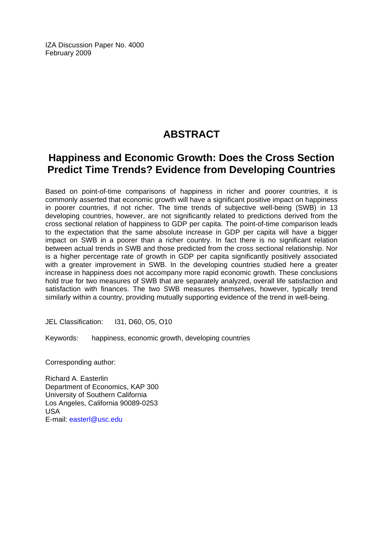IZA Discussion Paper No. 4000 February 2009

# **ABSTRACT**

# **Happiness and Economic Growth: Does the Cross Section Predict Time Trends? Evidence from Developing Countries**

Based on point-of-time comparisons of happiness in richer and poorer countries, it is commonly asserted that economic growth will have a significant positive impact on happiness in poorer countries, if not richer. The time trends of subjective well-being (SWB) in 13 developing countries, however, are not significantly related to predictions derived from the cross sectional relation of happiness to GDP per capita. The point-of-time comparison leads to the expectation that the same absolute increase in GDP per capita will have a bigger impact on SWB in a poorer than a richer country. In fact there is no significant relation between actual trends in SWB and those predicted from the cross sectional relationship. Nor is a higher percentage rate of growth in GDP per capita significantly positively associated with a greater improvement in SWB. In the developing countries studied here a greater increase in happiness does not accompany more rapid economic growth. These conclusions hold true for two measures of SWB that are separately analyzed, overall life satisfaction and satisfaction with finances. The two SWB measures themselves, however, typically trend similarly within a country, providing mutually supporting evidence of the trend in well-being.

JEL Classification: I31, D60, O5, O10

Keywords: happiness, economic growth, developing countries

Corresponding author:

Richard A. Easterlin Department of Economics, KAP 300 University of Southern California Los Angeles, California 90089-0253 USA E-mail: [easterl@usc.edu](mailto:easterl@usc.edu)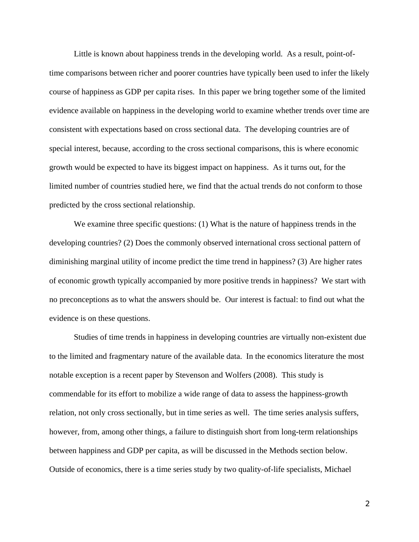Little is known about happiness trends in the developing world. As a result, point-oftime comparisons between richer and poorer countries have typically been used to infer the likely course of happiness as GDP per capita rises. In this paper we bring together some of the limited evidence available on happiness in the developing world to examine whether trends over time are consistent with expectations based on cross sectional data. The developing countries are of special interest, because, according to the cross sectional comparisons, this is where economic growth would be expected to have its biggest impact on happiness. As it turns out, for the limited number of countries studied here, we find that the actual trends do not conform to those predicted by the cross sectional relationship.

We examine three specific questions: (1) What is the nature of happiness trends in the developing countries? (2) Does the commonly observed international cross sectional pattern of diminishing marginal utility of income predict the time trend in happiness? (3) Are higher rates of economic growth typically accompanied by more positive trends in happiness? We start with no preconceptions as to what the answers should be. Our interest is factual: to find out what the evidence is on these questions.

Studies of time trends in happiness in developing countries are virtually non-existent due to the limited and fragmentary nature of the available data. In the economics literature the most notable exception is a recent paper by Stevenson and Wolfers (2008). This study is commendable for its effort to mobilize a wide range of data to assess the happiness-growth relation, not only cross sectionally, but in time series as well. The time series analysis suffers, however, from, among other things, a failure to distinguish short from long-term relationships between happiness and GDP per capita, as will be discussed in the Methods section below. Outside of economics, there is a time series study by two quality-of-life specialists, Michael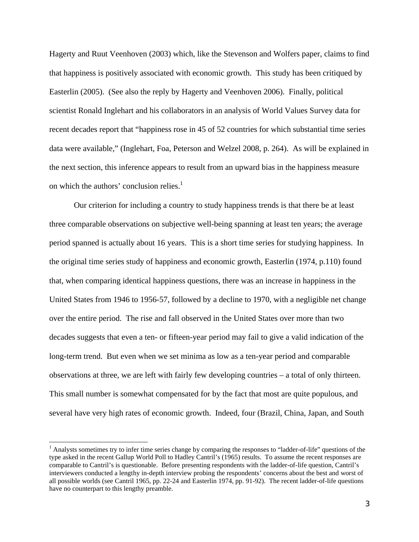Hagerty and Ruut Veenhoven (2003) which, like the Stevenson and Wolfers paper, claims to find that happiness is positively associated with economic growth. This study has been critiqued by Easterlin (2005). (See also the reply by Hagerty and Veenhoven 2006). Finally, political scientist Ronald Inglehart and his collaborators in an analysis of World Values Survey data for recent decades report that "happiness rose in 45 of 52 countries for which substantial time series data were available," (Inglehart, Foa, Peterson and Welzel 2008, p. 264). As will be explained in the next section, this inference appears to result from an upward bias in the happiness measure on which the authors' conclusion relies.<sup>1</sup>

Our criterion for including a country to study happiness trends is that there be at least three comparable observations on subjective well-being spanning at least ten years; the average period spanned is actually about 16 years. This is a short time series for studying happiness. In the original time series study of happiness and economic growth, Easterlin (1974, p.110) found that, when comparing identical happiness questions, there was an increase in happiness in the United States from 1946 to 1956-57, followed by a decline to 1970, with a negligible net change over the entire period. The rise and fall observed in the United States over more than two decades suggests that even a ten- or fifteen-year period may fail to give a valid indication of the long-term trend. But even when we set minima as low as a ten-year period and comparable observations at three, we are left with fairly few developing countries – a total of only thirteen. This small number is somewhat compensated for by the fact that most are quite populous, and several have very high rates of economic growth. Indeed, four (Brazil, China, Japan, and South

 $\overline{a}$ 

<sup>&</sup>lt;sup>1</sup> Analysts sometimes try to infer time series change by comparing the responses to "ladder-of-life" questions of the type asked in the recent Gallup World Poll to Hadley Cantril's (1965) results. To assume the recent responses are comparable to Cantril's is questionable. Before presenting respondents with the ladder-of-life question, Cantril's interviewers conducted a lengthy in-depth interview probing the respondents' concerns about the best and worst of all possible worlds (see Cantril 1965, pp. 22-24 and Easterlin 1974, pp. 91-92). The recent ladder-of-life questions have no counterpart to this lengthy preamble.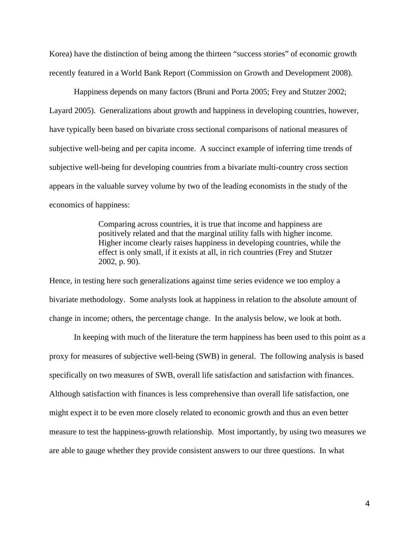Korea) have the distinction of being among the thirteen "success stories" of economic growth recently featured in a World Bank Report (Commission on Growth and Development 2008).

Happiness depends on many factors (Bruni and Porta 2005; Frey and Stutzer 2002; Layard 2005). Generalizations about growth and happiness in developing countries, however, have typically been based on bivariate cross sectional comparisons of national measures of subjective well-being and per capita income. A succinct example of inferring time trends of subjective well-being for developing countries from a bivariate multi-country cross section appears in the valuable survey volume by two of the leading economists in the study of the economics of happiness:

> Comparing across countries, it is true that income and happiness are positively related and that the marginal utility falls with higher income. Higher income clearly raises happiness in developing countries, while the effect is only small, if it exists at all, in rich countries (Frey and Stutzer 2002, p. 90).

Hence, in testing here such generalizations against time series evidence we too employ a bivariate methodology. Some analysts look at happiness in relation to the absolute amount of change in income; others, the percentage change. In the analysis below, we look at both.

In keeping with much of the literature the term happiness has been used to this point as a proxy for measures of subjective well-being (SWB) in general. The following analysis is based specifically on two measures of SWB, overall life satisfaction and satisfaction with finances. Although satisfaction with finances is less comprehensive than overall life satisfaction, one might expect it to be even more closely related to economic growth and thus an even better measure to test the happiness-growth relationship. Most importantly, by using two measures we are able to gauge whether they provide consistent answers to our three questions. In what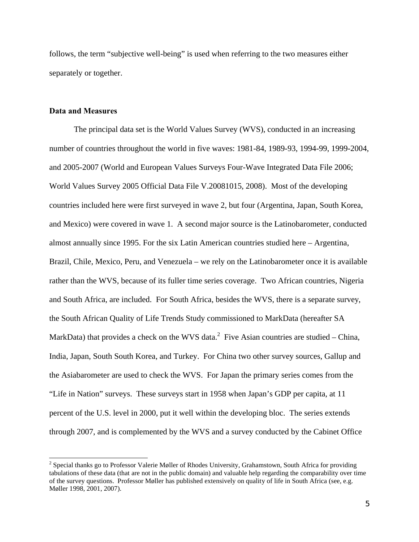follows, the term "subjective well-being" is used when referring to the two measures either separately or together.

#### **Data and Measures**

The principal data set is the World Values Survey (WVS), conducted in an increasing number of countries throughout the world in five waves: 1981-84, 1989-93, 1994-99, 1999-2004, and 2005-2007 (World and European Values Surveys Four-Wave Integrated Data File 2006; World Values Survey 2005 Official Data File V.20081015, 2008). Most of the developing countries included here were first surveyed in wave 2, but four (Argentina, Japan, South Korea, and Mexico) were covered in wave 1. A second major source is the Latinobarometer, conducted almost annually since 1995. For the six Latin American countries studied here – Argentina, Brazil, Chile, Mexico, Peru, and Venezuela – we rely on the Latinobarometer once it is available rather than the WVS, because of its fuller time series coverage. Two African countries, Nigeria and South Africa, are included. For South Africa, besides the WVS, there is a separate survey, the South African Quality of Life Trends Study commissioned to MarkData (hereafter SA MarkData) that provides a check on the WVS data.<sup>2</sup> Five Asian countries are studied – China, India, Japan, South South Korea, and Turkey. For China two other survey sources, Gallup and the Asiabarometer are used to check the WVS. For Japan the primary series comes from the "Life in Nation" surveys. These surveys start in 1958 when Japan's GDP per capita, at 11 percent of the U.S. level in 2000, put it well within the developing bloc. The series extends through 2007, and is complemented by the WVS and a survey conducted by the Cabinet Office

 $2$  Special thanks go to Professor Valerie Møller of Rhodes University, Grahamstown, South Africa for providing tabulations of these data (that are not in the public domain) and valuable help regarding the comparability over time of the survey questions. Professor Møller has published extensively on quality of life in South Africa (see, e.g. Møller 1998, 2001, 2007).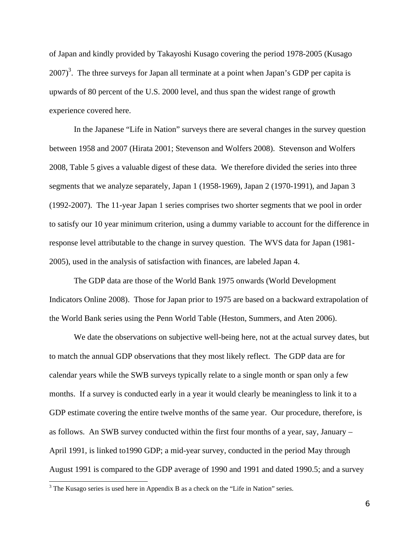of Japan and kindly provided by Takayoshi Kusago covering the period 1978-2005 (Kusago  $2007$ <sup>3</sup>. The three surveys for Japan all terminate at a point when Japan's GDP per capita is upwards of 80 percent of the U.S. 2000 level, and thus span the widest range of growth experience covered here.

In the Japanese "Life in Nation" surveys there are several changes in the survey question between 1958 and 2007 (Hirata 2001; Stevenson and Wolfers 2008). Stevenson and Wolfers 2008, Table 5 gives a valuable digest of these data. We therefore divided the series into three segments that we analyze separately, Japan 1 (1958-1969), Japan 2 (1970-1991), and Japan 3 (1992-2007). The 11-year Japan 1 series comprises two shorter segments that we pool in order to satisfy our 10 year minimum criterion, using a dummy variable to account for the difference in response level attributable to the change in survey question. The WVS data for Japan (1981- 2005), used in the analysis of satisfaction with finances, are labeled Japan 4.

The GDP data are those of the World Bank 1975 onwards (World Development Indicators Online 2008). Those for Japan prior to 1975 are based on a backward extrapolation of the World Bank series using the Penn World Table (Heston, Summers, and Aten 2006).

We date the observations on subjective well-being here, not at the actual survey dates, but to match the annual GDP observations that they most likely reflect. The GDP data are for calendar years while the SWB surveys typically relate to a single month or span only a few months. If a survey is conducted early in a year it would clearly be meaningless to link it to a GDP estimate covering the entire twelve months of the same year. Our procedure, therefore, is as follows. An SWB survey conducted within the first four months of a year, say, January – April 1991, is linked to1990 GDP; a mid-year survey, conducted in the period May through August 1991 is compared to the GDP average of 1990 and 1991 and dated 1990.5; and a survey

<sup>&</sup>lt;sup>3</sup> The Kusago series is used here in Appendix B as a check on the "Life in Nation" series.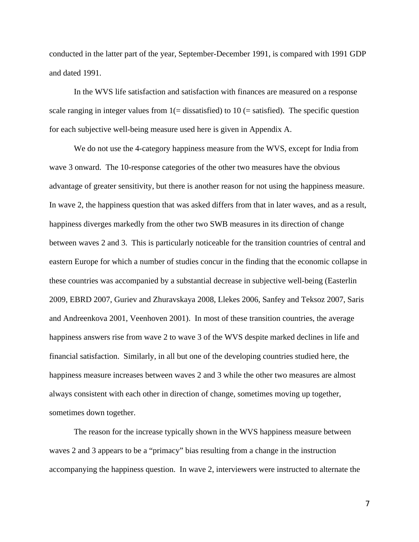conducted in the latter part of the year, September-December 1991, is compared with 1991 GDP and dated 1991.

In the WVS life satisfaction and satisfaction with finances are measured on a response scale ranging in integer values from  $1 (=$  dissatisfied) to  $10 (=$  satisfied). The specific question for each subjective well-being measure used here is given in Appendix A.

We do not use the 4-category happiness measure from the WVS, except for India from wave 3 onward. The 10-response categories of the other two measures have the obvious advantage of greater sensitivity, but there is another reason for not using the happiness measure. In wave 2, the happiness question that was asked differs from that in later waves, and as a result, happiness diverges markedly from the other two SWB measures in its direction of change between waves 2 and 3. This is particularly noticeable for the transition countries of central and eastern Europe for which a number of studies concur in the finding that the economic collapse in these countries was accompanied by a substantial decrease in subjective well-being (Easterlin 2009, EBRD 2007, Guriev and Zhuravskaya 2008, Llekes 2006, Sanfey and Teksoz 2007, Saris and Andreenkova 2001, Veenhoven 2001). In most of these transition countries, the average happiness answers rise from wave 2 to wave 3 of the WVS despite marked declines in life and financial satisfaction. Similarly, in all but one of the developing countries studied here, the happiness measure increases between waves 2 and 3 while the other two measures are almost always consistent with each other in direction of change, sometimes moving up together, sometimes down together.

The reason for the increase typically shown in the WVS happiness measure between waves 2 and 3 appears to be a "primacy" bias resulting from a change in the instruction accompanying the happiness question. In wave 2, interviewers were instructed to alternate the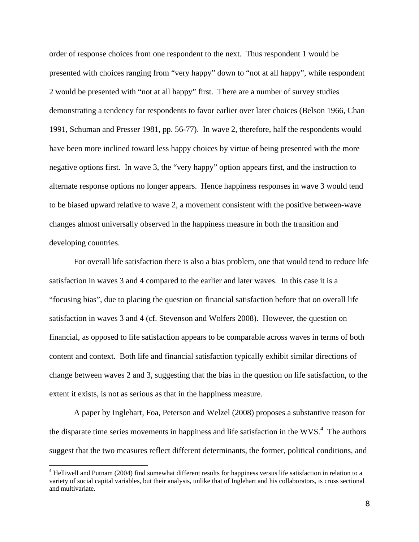order of response choices from one respondent to the next. Thus respondent 1 would be presented with choices ranging from "very happy" down to "not at all happy", while respondent 2 would be presented with "not at all happy" first. There are a number of survey studies demonstrating a tendency for respondents to favor earlier over later choices (Belson 1966, Chan 1991, Schuman and Presser 1981, pp. 56-77). In wave 2, therefore, half the respondents would have been more inclined toward less happy choices by virtue of being presented with the more negative options first. In wave 3, the "very happy" option appears first, and the instruction to alternate response options no longer appears. Hence happiness responses in wave 3 would tend to be biased upward relative to wave 2, a movement consistent with the positive between-wave changes almost universally observed in the happiness measure in both the transition and developing countries.

For overall life satisfaction there is also a bias problem, one that would tend to reduce life satisfaction in waves 3 and 4 compared to the earlier and later waves. In this case it is a "focusing bias", due to placing the question on financial satisfaction before that on overall life satisfaction in waves 3 and 4 (cf. Stevenson and Wolfers 2008). However, the question on financial, as opposed to life satisfaction appears to be comparable across waves in terms of both content and context. Both life and financial satisfaction typically exhibit similar directions of change between waves 2 and 3, suggesting that the bias in the question on life satisfaction, to the extent it exists, is not as serious as that in the happiness measure.

A paper by Inglehart, Foa, Peterson and Welzel (2008) proposes a substantive reason for the disparate time series movements in happiness and life satisfaction in the WVS. $4$  The authors suggest that the two measures reflect different determinants, the former, political conditions, and

 $\overline{a}$ 

<sup>&</sup>lt;sup>4</sup> Helliwell and Putnam (2004) find somewhat different results for happiness versus life satisfaction in relation to a variety of social capital variables, but their analysis, unlike that of Inglehart and his collaborators, is cross sectional and multivariate.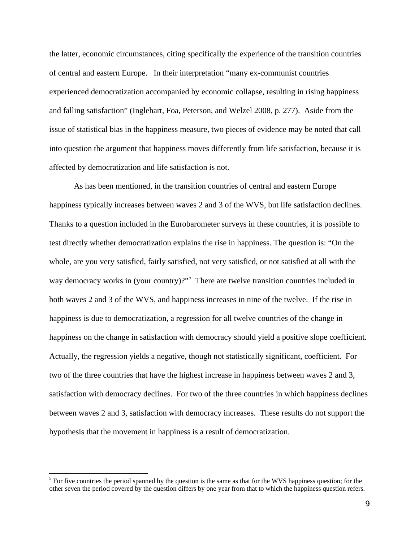the latter, economic circumstances, citing specifically the experience of the transition countries of central and eastern Europe. In their interpretation "many ex-communist countries experienced democratization accompanied by economic collapse, resulting in rising happiness and falling satisfaction" (Inglehart, Foa, Peterson, and Welzel 2008, p. 277). Aside from the issue of statistical bias in the happiness measure, two pieces of evidence may be noted that call into question the argument that happiness moves differently from life satisfaction, because it is affected by democratization and life satisfaction is not.

As has been mentioned, in the transition countries of central and eastern Europe happiness typically increases between waves 2 and 3 of the WVS, but life satisfaction declines. Thanks to a question included in the Eurobarometer surveys in these countries, it is possible to test directly whether democratization explains the rise in happiness. The question is: "On the whole, are you very satisfied, fairly satisfied, not very satisfied, or not satisfied at all with the way democracy works in (your country)?"<sup>5</sup> There are twelve transition countries included in both waves 2 and 3 of the WVS, and happiness increases in nine of the twelve. If the rise in happiness is due to democratization, a regression for all twelve countries of the change in happiness on the change in satisfaction with democracy should yield a positive slope coefficient. Actually, the regression yields a negative, though not statistically significant, coefficient. For two of the three countries that have the highest increase in happiness between waves 2 and 3, satisfaction with democracy declines. For two of the three countries in which happiness declines between waves 2 and 3, satisfaction with democracy increases. These results do not support the hypothesis that the movement in happiness is a result of democratization.

 $<sup>5</sup>$  For five countries the period spanned by the question is the same as that for the WVS happiness question; for the</sup> other seven the period covered by the question differs by one year from that to which the happiness question refers.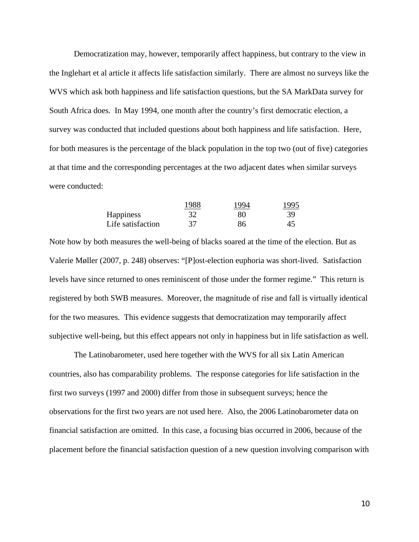Democratization may, however, temporarily affect happiness, but contrary to the view in the Inglehart et al article it affects life satisfaction similarly. There are almost no surveys like the WVS which ask both happiness and life satisfaction questions, but the SA MarkData survey for South Africa does. In May 1994, one month after the country's first democratic election, a survey was conducted that included questions about both happiness and life satisfaction. Here, for both measures is the percentage of the black population in the top two (out of five) categories at that time and the corresponding percentages at the two adjacent dates when similar surveys were conducted:

|                   | 1988 | 1994 | 1995 |
|-------------------|------|------|------|
| Happiness         |      | 80   | 39   |
| Life satisfaction | 37   | 86   | 45   |

Note how by both measures the well-being of blacks soared at the time of the election. But as Valerie Møller (2007, p. 248) observes: "[P]ost-election euphoria was short-lived. Satisfaction levels have since returned to ones reminiscent of those under the former regime." This return is registered by both SWB measures. Moreover, the magnitude of rise and fall is virtually identical for the two measures. This evidence suggests that democratization may temporarily affect subjective well-being, but this effect appears not only in happiness but in life satisfaction as well.

The Latinobarometer, used here together with the WVS for all six Latin American countries, also has comparability problems. The response categories for life satisfaction in the first two surveys (1997 and 2000) differ from those in subsequent surveys; hence the observations for the first two years are not used here. Also, the 2006 Latinobarometer data on financial satisfaction are omitted. In this case, a focusing bias occurred in 2006, because of the placement before the financial satisfaction question of a new question involving comparison with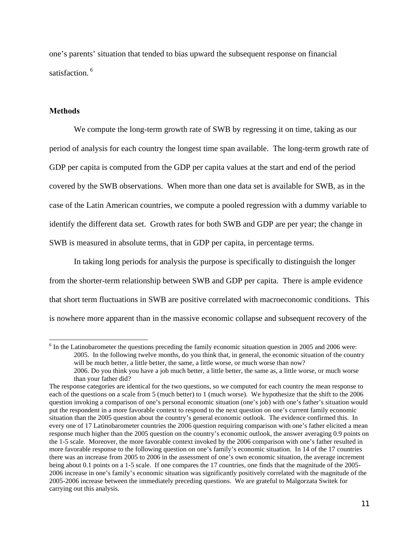one's parents' situation that tended to bias upward the subsequent response on financial satisfaction.<sup>6</sup>

#### **Methods**

We compute the long-term growth rate of SWB by regressing it on time, taking as our period of analysis for each country the longest time span available. The long-term growth rate of GDP per capita is computed from the GDP per capita values at the start and end of the period covered by the SWB observations. When more than one data set is available for SWB, as in the case of the Latin American countries, we compute a pooled regression with a dummy variable to identify the different data set. Growth rates for both SWB and GDP are per year; the change in SWB is measured in absolute terms, that in GDP per capita, in percentage terms.

In taking long periods for analysis the purpose is specifically to distinguish the longer from the shorter-term relationship between SWB and GDP per capita. There is ample evidence that short term fluctuations in SWB are positive correlated with macroeconomic conditions. This is nowhere more apparent than in the massive economic collapse and subsequent recovery of the

<sup>&</sup>lt;sup>6</sup> In the Latinobarometer the questions preceding the family economic situation question in 2005 and 2006 were: 2005. In the following twelve months, do you think that, in general, the economic situation of the country will be much better, a little better, the same, a little worse, or much worse than now? 2006. Do you think you have a job much better, a little better, the same as, a little worse, or much worse than your father did?

The response categories are identical for the two questions, so we computed for each country the mean response to each of the questions on a scale from 5 (much better) to 1 (much worse). We hypothesize that the shift to the 2006 question invoking a comparison of one's personal economic situation (one's job) with one's father's situation would put the respondent in a more favorable context to respond to the next question on one's current family economic situation than the 2005 question about the country's general economic outlook. The evidence confirmed this. In every one of 17 Latinobarometer countries the 2006 question requiring comparison with one's father elicited a mean response much higher than the 2005 question on the country's economic outlook, the answer averaging 0.9 points on the 1-5 scale. Moreover, the more favorable context invoked by the 2006 comparison with one's father resulted in more favorable response to the following question on one's family's economic situation. In 14 of the 17 countries there was an increase from 2005 to 2006 in the assessment of one's own economic situation, the average increment being about 0.1 points on a 1-5 scale. If one compares the 17 countries, one finds that the magnitude of the 2005- 2006 increase in one's family's economic situation was significantly positively correlated with the magnitude of the 2005-2006 increase between the immediately preceding questions. We are grateful to Malgorzata Switek for carrying out this analysis.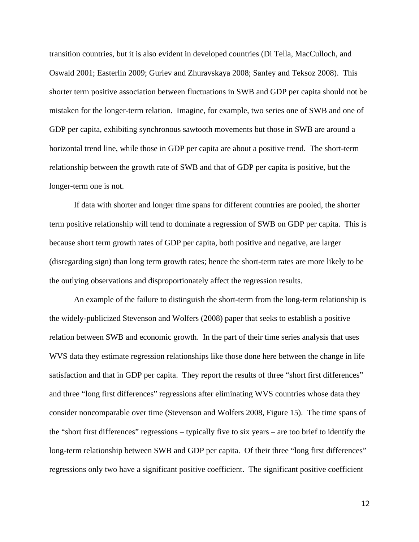transition countries, but it is also evident in developed countries (Di Tella, MacCulloch, and Oswald 2001; Easterlin 2009; Guriev and Zhuravskaya 2008; Sanfey and Teksoz 2008). This shorter term positive association between fluctuations in SWB and GDP per capita should not be mistaken for the longer-term relation. Imagine, for example, two series one of SWB and one of GDP per capita, exhibiting synchronous sawtooth movements but those in SWB are around a horizontal trend line, while those in GDP per capita are about a positive trend. The short-term relationship between the growth rate of SWB and that of GDP per capita is positive, but the longer-term one is not.

If data with shorter and longer time spans for different countries are pooled, the shorter term positive relationship will tend to dominate a regression of SWB on GDP per capita. This is because short term growth rates of GDP per capita, both positive and negative, are larger (disregarding sign) than long term growth rates; hence the short-term rates are more likely to be the outlying observations and disproportionately affect the regression results.

An example of the failure to distinguish the short-term from the long-term relationship is the widely-publicized Stevenson and Wolfers (2008) paper that seeks to establish a positive relation between SWB and economic growth. In the part of their time series analysis that uses WVS data they estimate regression relationships like those done here between the change in life satisfaction and that in GDP per capita. They report the results of three "short first differences" and three "long first differences" regressions after eliminating WVS countries whose data they consider noncomparable over time (Stevenson and Wolfers 2008, Figure 15). The time spans of the "short first differences" regressions – typically five to six years – are too brief to identify the long-term relationship between SWB and GDP per capita. Of their three "long first differences" regressions only two have a significant positive coefficient. The significant positive coefficient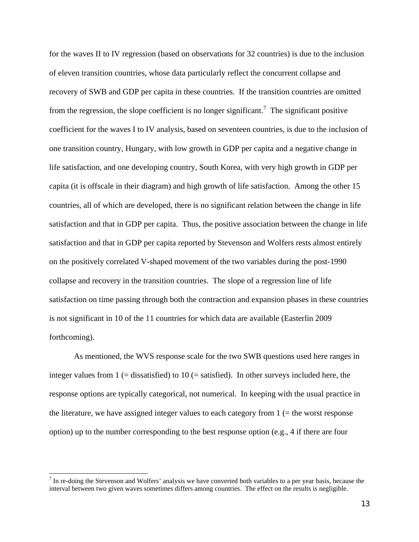for the waves II to IV regression (based on observations for 32 countries) is due to the inclusion of eleven transition countries, whose data particularly reflect the concurrent collapse and recovery of SWB and GDP per capita in these countries. If the transition countries are omitted from the regression, the slope coefficient is no longer significant.<sup>7</sup> The significant positive coefficient for the waves I to IV analysis, based on seventeen countries, is due to the inclusion of one transition country, Hungary, with low growth in GDP per capita and a negative change in life satisfaction, and one developing country, South Korea, with very high growth in GDP per capita (it is offscale in their diagram) and high growth of life satisfaction. Among the other 15 countries, all of which are developed, there is no significant relation between the change in life satisfaction and that in GDP per capita. Thus, the positive association between the change in life satisfaction and that in GDP per capita reported by Stevenson and Wolfers rests almost entirely on the positively correlated V-shaped movement of the two variables during the post-1990 collapse and recovery in the transition countries. The slope of a regression line of life satisfaction on time passing through both the contraction and expansion phases in these countries is not significant in 10 of the 11 countries for which data are available (Easterlin 2009 forthcoming).

As mentioned, the WVS response scale for the two SWB questions used here ranges in integer values from  $1$  (= dissatisfied) to  $10$  (= satisfied). In other surveys included here, the response options are typically categorical, not numerical. In keeping with the usual practice in the literature, we have assigned integer values to each category from  $1$  (= the worst response option) up to the number corresponding to the best response option (e.g., 4 if there are four

<sup>&</sup>lt;sup>7</sup> In re-doing the Stevenson and Wolfers' analysis we have converted both variables to a per year basis, because the interval between two given waves sometimes differs among countries. The effect on the results is negligible.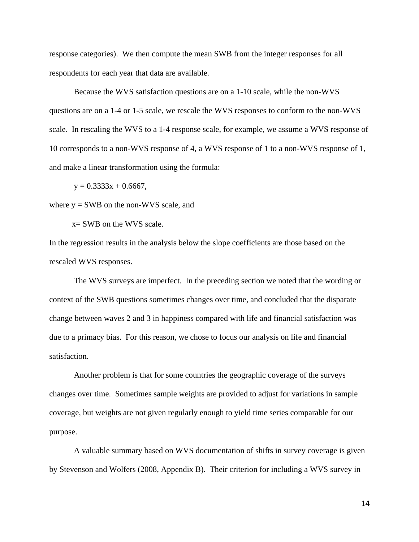response categories). We then compute the mean SWB from the integer responses for all respondents for each year that data are available.

Because the WVS satisfaction questions are on a 1-10 scale, while the non-WVS questions are on a 1-4 or 1-5 scale, we rescale the WVS responses to conform to the non-WVS scale. In rescaling the WVS to a 1-4 response scale, for example, we assume a WVS response of 10 corresponds to a non-WVS response of 4, a WVS response of 1 to a non-WVS response of 1, and make a linear transformation using the formula:

 $y = 0.3333x + 0.6667$ ,

where  $y = SWB$  on the non-WVS scale, and

x= SWB on the WVS scale.

In the regression results in the analysis below the slope coefficients are those based on the rescaled WVS responses.

The WVS surveys are imperfect. In the preceding section we noted that the wording or context of the SWB questions sometimes changes over time, and concluded that the disparate change between waves 2 and 3 in happiness compared with life and financial satisfaction was due to a primacy bias. For this reason, we chose to focus our analysis on life and financial satisfaction.

Another problem is that for some countries the geographic coverage of the surveys changes over time. Sometimes sample weights are provided to adjust for variations in sample coverage, but weights are not given regularly enough to yield time series comparable for our purpose.

A valuable summary based on WVS documentation of shifts in survey coverage is given by Stevenson and Wolfers (2008, Appendix B). Their criterion for including a WVS survey in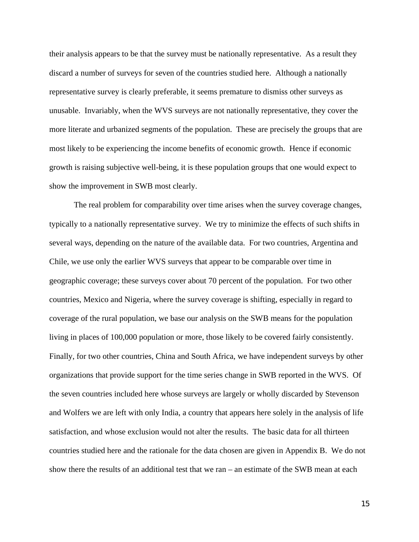their analysis appears to be that the survey must be nationally representative. As a result they discard a number of surveys for seven of the countries studied here. Although a nationally representative survey is clearly preferable, it seems premature to dismiss other surveys as unusable. Invariably, when the WVS surveys are not nationally representative, they cover the more literate and urbanized segments of the population. These are precisely the groups that are most likely to be experiencing the income benefits of economic growth. Hence if economic growth is raising subjective well-being, it is these population groups that one would expect to show the improvement in SWB most clearly.

The real problem for comparability over time arises when the survey coverage changes, typically to a nationally representative survey. We try to minimize the effects of such shifts in several ways, depending on the nature of the available data. For two countries, Argentina and Chile, we use only the earlier WVS surveys that appear to be comparable over time in geographic coverage; these surveys cover about 70 percent of the population. For two other countries, Mexico and Nigeria, where the survey coverage is shifting, especially in regard to coverage of the rural population, we base our analysis on the SWB means for the population living in places of 100,000 population or more, those likely to be covered fairly consistently. Finally, for two other countries, China and South Africa, we have independent surveys by other organizations that provide support for the time series change in SWB reported in the WVS. Of the seven countries included here whose surveys are largely or wholly discarded by Stevenson and Wolfers we are left with only India, a country that appears here solely in the analysis of life satisfaction, and whose exclusion would not alter the results. The basic data for all thirteen countries studied here and the rationale for the data chosen are given in Appendix B. We do not show there the results of an additional test that we ran – an estimate of the SWB mean at each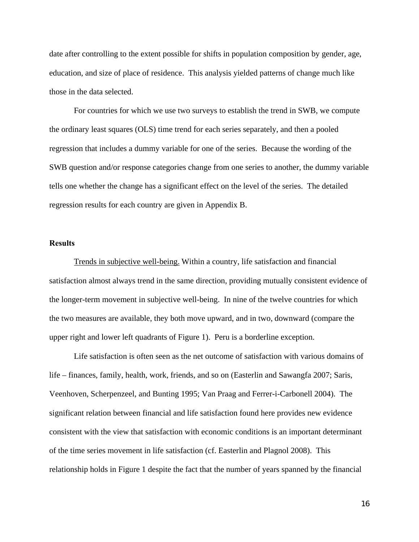date after controlling to the extent possible for shifts in population composition by gender, age, education, and size of place of residence. This analysis yielded patterns of change much like those in the data selected.

For countries for which we use two surveys to establish the trend in SWB, we compute the ordinary least squares (OLS) time trend for each series separately, and then a pooled regression that includes a dummy variable for one of the series. Because the wording of the SWB question and/or response categories change from one series to another, the dummy variable tells one whether the change has a significant effect on the level of the series. The detailed regression results for each country are given in Appendix B.

#### **Results**

Trends in subjective well-being. Within a country, life satisfaction and financial satisfaction almost always trend in the same direction, providing mutually consistent evidence of the longer-term movement in subjective well-being. In nine of the twelve countries for which the two measures are available, they both move upward, and in two, downward (compare the upper right and lower left quadrants of Figure 1). Peru is a borderline exception.

Life satisfaction is often seen as the net outcome of satisfaction with various domains of life – finances, family, health, work, friends, and so on (Easterlin and Sawangfa 2007; Saris, Veenhoven, Scherpenzeel, and Bunting 1995; Van Praag and Ferrer-i-Carbonell 2004). The significant relation between financial and life satisfaction found here provides new evidence consistent with the view that satisfaction with economic conditions is an important determinant of the time series movement in life satisfaction (cf. Easterlin and Plagnol 2008). This relationship holds in Figure 1 despite the fact that the number of years spanned by the financial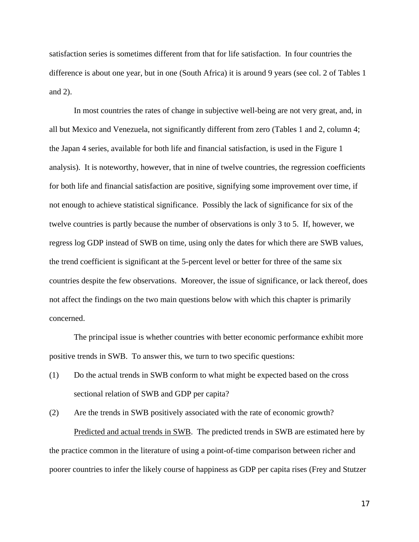satisfaction series is sometimes different from that for life satisfaction. In four countries the difference is about one year, but in one (South Africa) it is around 9 years (see col. 2 of Tables 1 and 2).

In most countries the rates of change in subjective well-being are not very great, and, in all but Mexico and Venezuela, not significantly different from zero (Tables 1 and 2, column 4; the Japan 4 series, available for both life and financial satisfaction, is used in the Figure 1 analysis). It is noteworthy, however, that in nine of twelve countries, the regression coefficients for both life and financial satisfaction are positive, signifying some improvement over time, if not enough to achieve statistical significance. Possibly the lack of significance for six of the twelve countries is partly because the number of observations is only 3 to 5. If, however, we regress log GDP instead of SWB on time, using only the dates for which there are SWB values, the trend coefficient is significant at the 5-percent level or better for three of the same six countries despite the few observations. Moreover, the issue of significance, or lack thereof, does not affect the findings on the two main questions below with which this chapter is primarily concerned.

The principal issue is whether countries with better economic performance exhibit more positive trends in SWB. To answer this, we turn to two specific questions:

- (1) Do the actual trends in SWB conform to what might be expected based on the cross sectional relation of SWB and GDP per capita?
- (2) Are the trends in SWB positively associated with the rate of economic growth? Predicted and actual trends in SWB. The predicted trends in SWB are estimated here by the practice common in the literature of using a point-of-time comparison between richer and poorer countries to infer the likely course of happiness as GDP per capita rises (Frey and Stutzer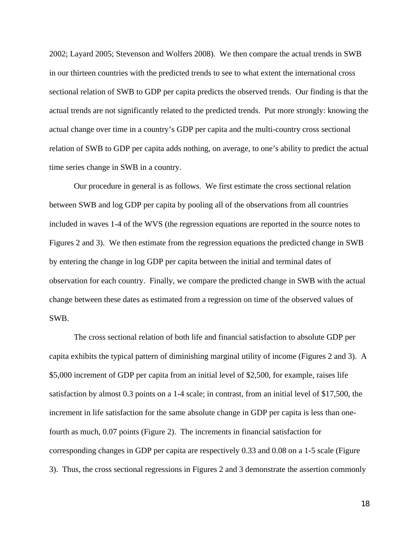2002; Layard 2005; Stevenson and Wolfers 2008). We then compare the actual trends in SWB in our thirteen countries with the predicted trends to see to what extent the international cross sectional relation of SWB to GDP per capita predicts the observed trends. Our finding is that the actual trends are not significantly related to the predicted trends. Put more strongly: knowing the actual change over time in a country's GDP per capita and the multi-country cross sectional relation of SWB to GDP per capita adds nothing, on average, to one's ability to predict the actual time series change in SWB in a country.

Our procedure in general is as follows. We first estimate the cross sectional relation between SWB and log GDP per capita by pooling all of the observations from all countries included in waves 1-4 of the WVS (the regression equations are reported in the source notes to Figures 2 and 3). We then estimate from the regression equations the predicted change in SWB by entering the change in log GDP per capita between the initial and terminal dates of observation for each country. Finally, we compare the predicted change in SWB with the actual change between these dates as estimated from a regression on time of the observed values of SWB.

The cross sectional relation of both life and financial satisfaction to absolute GDP per capita exhibits the typical pattern of diminishing marginal utility of income (Figures 2 and 3). A \$5,000 increment of GDP per capita from an initial level of \$2,500, for example, raises life satisfaction by almost 0.3 points on a 1-4 scale; in contrast, from an initial level of \$17,500, the increment in life satisfaction for the same absolute change in GDP per capita is less than onefourth as much, 0.07 points (Figure 2). The increments in financial satisfaction for corresponding changes in GDP per capita are respectively 0.33 and 0.08 on a 1-5 scale (Figure 3). Thus, the cross sectional regressions in Figures 2 and 3 demonstrate the assertion commonly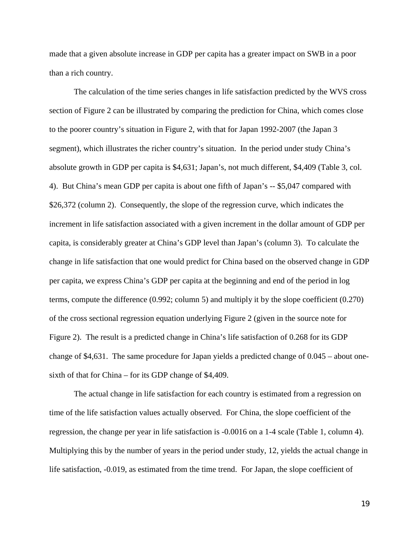made that a given absolute increase in GDP per capita has a greater impact on SWB in a poor than a rich country.

The calculation of the time series changes in life satisfaction predicted by the WVS cross section of Figure 2 can be illustrated by comparing the prediction for China, which comes close to the poorer country's situation in Figure 2, with that for Japan 1992-2007 (the Japan 3 segment), which illustrates the richer country's situation. In the period under study China's absolute growth in GDP per capita is \$4,631; Japan's, not much different, \$4,409 (Table 3, col. 4). But China's mean GDP per capita is about one fifth of Japan's -- \$5,047 compared with \$26,372 (column 2). Consequently, the slope of the regression curve, which indicates the increment in life satisfaction associated with a given increment in the dollar amount of GDP per capita, is considerably greater at China's GDP level than Japan's (column 3). To calculate the change in life satisfaction that one would predict for China based on the observed change in GDP per capita, we express China's GDP per capita at the beginning and end of the period in log terms, compute the difference (0.992; column 5) and multiply it by the slope coefficient (0.270) of the cross sectional regression equation underlying Figure 2 (given in the source note for Figure 2). The result is a predicted change in China's life satisfaction of 0.268 for its GDP change of \$4,631. The same procedure for Japan yields a predicted change of 0.045 – about onesixth of that for China – for its GDP change of \$4,409.

The actual change in life satisfaction for each country is estimated from a regression on time of the life satisfaction values actually observed. For China, the slope coefficient of the regression, the change per year in life satisfaction is -0.0016 on a 1-4 scale (Table 1, column 4). Multiplying this by the number of years in the period under study, 12, yields the actual change in life satisfaction, -0.019, as estimated from the time trend. For Japan, the slope coefficient of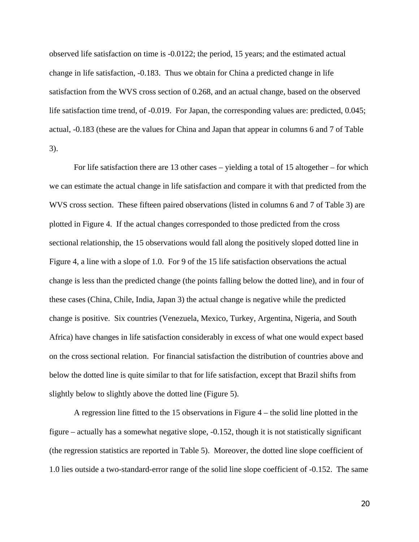observed life satisfaction on time is -0.0122; the period, 15 years; and the estimated actual change in life satisfaction, -0.183. Thus we obtain for China a predicted change in life satisfaction from the WVS cross section of 0.268, and an actual change, based on the observed life satisfaction time trend, of -0.019. For Japan, the corresponding values are: predicted, 0.045; actual, -0.183 (these are the values for China and Japan that appear in columns 6 and 7 of Table 3).

For life satisfaction there are 13 other cases – yielding a total of 15 altogether – for which we can estimate the actual change in life satisfaction and compare it with that predicted from the WVS cross section. These fifteen paired observations (listed in columns 6 and 7 of Table 3) are plotted in Figure 4. If the actual changes corresponded to those predicted from the cross sectional relationship, the 15 observations would fall along the positively sloped dotted line in Figure 4, a line with a slope of 1.0. For 9 of the 15 life satisfaction observations the actual change is less than the predicted change (the points falling below the dotted line), and in four of these cases (China, Chile, India, Japan 3) the actual change is negative while the predicted change is positive. Six countries (Venezuela, Mexico, Turkey, Argentina, Nigeria, and South Africa) have changes in life satisfaction considerably in excess of what one would expect based on the cross sectional relation. For financial satisfaction the distribution of countries above and below the dotted line is quite similar to that for life satisfaction, except that Brazil shifts from slightly below to slightly above the dotted line (Figure 5).

A regression line fitted to the 15 observations in Figure 4 – the solid line plotted in the figure – actually has a somewhat negative slope, -0.152, though it is not statistically significant (the regression statistics are reported in Table 5). Moreover, the dotted line slope coefficient of 1.0 lies outside a two-standard-error range of the solid line slope coefficient of -0.152. The same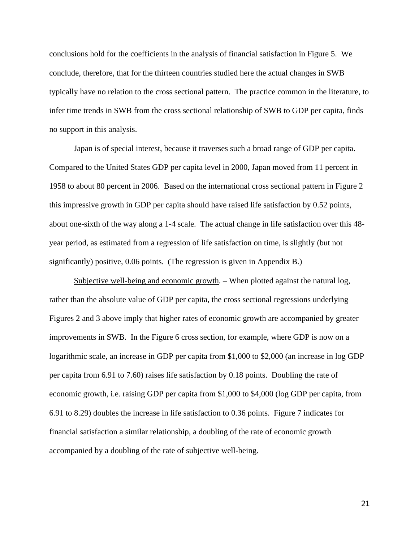conclusions hold for the coefficients in the analysis of financial satisfaction in Figure 5. We conclude, therefore, that for the thirteen countries studied here the actual changes in SWB typically have no relation to the cross sectional pattern. The practice common in the literature, to infer time trends in SWB from the cross sectional relationship of SWB to GDP per capita, finds no support in this analysis.

Japan is of special interest, because it traverses such a broad range of GDP per capita. Compared to the United States GDP per capita level in 2000, Japan moved from 11 percent in 1958 to about 80 percent in 2006. Based on the international cross sectional pattern in Figure 2 this impressive growth in GDP per capita should have raised life satisfaction by 0.52 points, about one-sixth of the way along a 1-4 scale. The actual change in life satisfaction over this 48 year period, as estimated from a regression of life satisfaction on time, is slightly (but not significantly) positive, 0.06 points. (The regression is given in Appendix B.)

Subjective well-being and economic growth. – When plotted against the natural log, rather than the absolute value of GDP per capita, the cross sectional regressions underlying Figures 2 and 3 above imply that higher rates of economic growth are accompanied by greater improvements in SWB. In the Figure 6 cross section, for example, where GDP is now on a logarithmic scale, an increase in GDP per capita from \$1,000 to \$2,000 (an increase in log GDP per capita from 6.91 to 7.60) raises life satisfaction by 0.18 points. Doubling the rate of economic growth, i.e. raising GDP per capita from \$1,000 to \$4,000 (log GDP per capita, from 6.91 to 8.29) doubles the increase in life satisfaction to 0.36 points. Figure 7 indicates for financial satisfaction a similar relationship, a doubling of the rate of economic growth accompanied by a doubling of the rate of subjective well-being.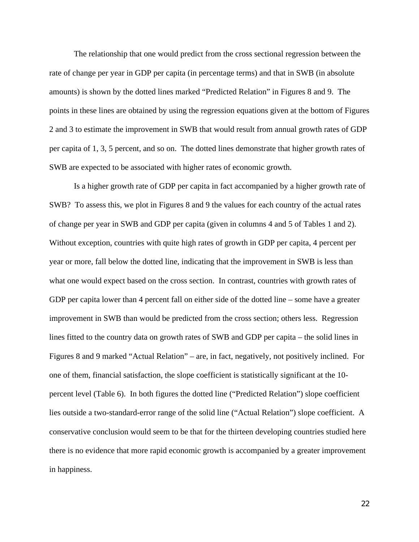The relationship that one would predict from the cross sectional regression between the rate of change per year in GDP per capita (in percentage terms) and that in SWB (in absolute amounts) is shown by the dotted lines marked "Predicted Relation" in Figures 8 and 9. The points in these lines are obtained by using the regression equations given at the bottom of Figures 2 and 3 to estimate the improvement in SWB that would result from annual growth rates of GDP per capita of 1, 3, 5 percent, and so on. The dotted lines demonstrate that higher growth rates of SWB are expected to be associated with higher rates of economic growth.

Is a higher growth rate of GDP per capita in fact accompanied by a higher growth rate of SWB? To assess this, we plot in Figures 8 and 9 the values for each country of the actual rates of change per year in SWB and GDP per capita (given in columns 4 and 5 of Tables 1 and 2). Without exception, countries with quite high rates of growth in GDP per capita, 4 percent per year or more, fall below the dotted line, indicating that the improvement in SWB is less than what one would expect based on the cross section. In contrast, countries with growth rates of GDP per capita lower than 4 percent fall on either side of the dotted line – some have a greater improvement in SWB than would be predicted from the cross section; others less. Regression lines fitted to the country data on growth rates of SWB and GDP per capita – the solid lines in Figures 8 and 9 marked "Actual Relation" – are, in fact, negatively, not positively inclined. For one of them, financial satisfaction, the slope coefficient is statistically significant at the 10 percent level (Table 6). In both figures the dotted line ("Predicted Relation") slope coefficient lies outside a two-standard-error range of the solid line ("Actual Relation") slope coefficient. A conservative conclusion would seem to be that for the thirteen developing countries studied here there is no evidence that more rapid economic growth is accompanied by a greater improvement in happiness.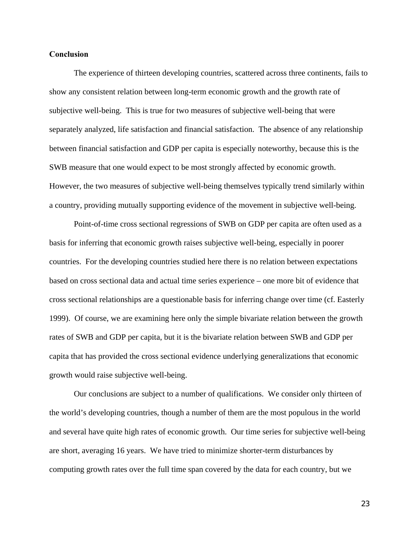#### **Conclusion**

The experience of thirteen developing countries, scattered across three continents, fails to show any consistent relation between long-term economic growth and the growth rate of subjective well-being. This is true for two measures of subjective well-being that were separately analyzed, life satisfaction and financial satisfaction. The absence of any relationship between financial satisfaction and GDP per capita is especially noteworthy, because this is the SWB measure that one would expect to be most strongly affected by economic growth. However, the two measures of subjective well-being themselves typically trend similarly within a country, providing mutually supporting evidence of the movement in subjective well-being.

Point-of-time cross sectional regressions of SWB on GDP per capita are often used as a basis for inferring that economic growth raises subjective well-being, especially in poorer countries. For the developing countries studied here there is no relation between expectations based on cross sectional data and actual time series experience – one more bit of evidence that cross sectional relationships are a questionable basis for inferring change over time (cf. Easterly 1999). Of course, we are examining here only the simple bivariate relation between the growth rates of SWB and GDP per capita, but it is the bivariate relation between SWB and GDP per capita that has provided the cross sectional evidence underlying generalizations that economic growth would raise subjective well-being.

Our conclusions are subject to a number of qualifications. We consider only thirteen of the world's developing countries, though a number of them are the most populous in the world and several have quite high rates of economic growth. Our time series for subjective well-being are short, averaging 16 years. We have tried to minimize shorter-term disturbances by computing growth rates over the full time span covered by the data for each country, but we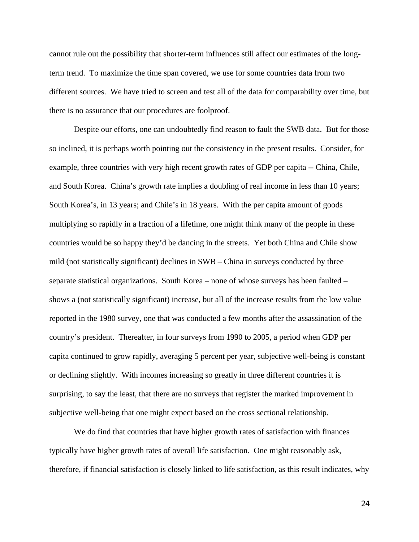cannot rule out the possibility that shorter-term influences still affect our estimates of the longterm trend. To maximize the time span covered, we use for some countries data from two different sources. We have tried to screen and test all of the data for comparability over time, but there is no assurance that our procedures are foolproof.

Despite our efforts, one can undoubtedly find reason to fault the SWB data. But for those so inclined, it is perhaps worth pointing out the consistency in the present results. Consider, for example, three countries with very high recent growth rates of GDP per capita -- China, Chile, and South Korea. China's growth rate implies a doubling of real income in less than 10 years; South Korea's, in 13 years; and Chile's in 18 years. With the per capita amount of goods multiplying so rapidly in a fraction of a lifetime, one might think many of the people in these countries would be so happy they'd be dancing in the streets. Yet both China and Chile show mild (not statistically significant) declines in SWB – China in surveys conducted by three separate statistical organizations. South Korea – none of whose surveys has been faulted – shows a (not statistically significant) increase, but all of the increase results from the low value reported in the 1980 survey, one that was conducted a few months after the assassination of the country's president. Thereafter, in four surveys from 1990 to 2005, a period when GDP per capita continued to grow rapidly, averaging 5 percent per year, subjective well-being is constant or declining slightly. With incomes increasing so greatly in three different countries it is surprising, to say the least, that there are no surveys that register the marked improvement in subjective well-being that one might expect based on the cross sectional relationship.

We do find that countries that have higher growth rates of satisfaction with finances typically have higher growth rates of overall life satisfaction. One might reasonably ask, therefore, if financial satisfaction is closely linked to life satisfaction, as this result indicates, why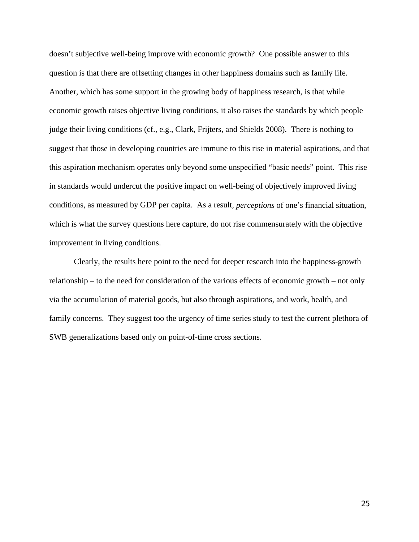doesn't subjective well-being improve with economic growth? One possible answer to this question is that there are offsetting changes in other happiness domains such as family life. Another, which has some support in the growing body of happiness research, is that while economic growth raises objective living conditions, it also raises the standards by which people judge their living conditions (cf., e.g., Clark, Frijters, and Shields 2008). There is nothing to suggest that those in developing countries are immune to this rise in material aspirations, and that this aspiration mechanism operates only beyond some unspecified "basic needs" point. This rise in standards would undercut the positive impact on well-being of objectively improved living conditions, as measured by GDP per capita. As a result, *perceptions* of one's financial situation, which is what the survey questions here capture, do not rise commensurately with the objective improvement in living conditions.

Clearly, the results here point to the need for deeper research into the happiness-growth relationship – to the need for consideration of the various effects of economic growth – not only via the accumulation of material goods, but also through aspirations, and work, health, and family concerns. They suggest too the urgency of time series study to test the current plethora of SWB generalizations based only on point-of-time cross sections.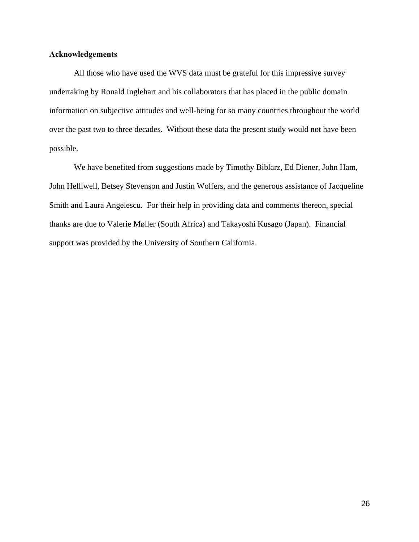#### **Acknowledgements**

All those who have used the WVS data must be grateful for this impressive survey undertaking by Ronald Inglehart and his collaborators that has placed in the public domain information on subjective attitudes and well-being for so many countries throughout the world over the past two to three decades. Without these data the present study would not have been possible.

We have benefited from suggestions made by Timothy Biblarz, Ed Diener, John Ham, John Helliwell, Betsey Stevenson and Justin Wolfers, and the generous assistance of Jacqueline Smith and Laura Angelescu. For their help in providing data and comments thereon, special thanks are due to Valerie Møller (South Africa) and Takayoshi Kusago (Japan). Financial support was provided by the University of Southern California.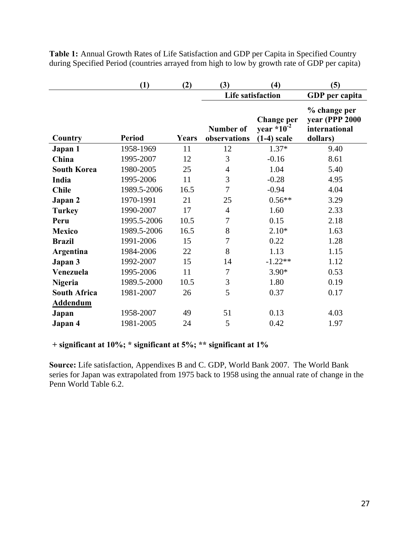|                     | (1)           | (2)   | (3)                              | (4)                                            | (5)                                                         |
|---------------------|---------------|-------|----------------------------------|------------------------------------------------|-------------------------------------------------------------|
|                     |               |       | <b>Life satisfaction</b>         |                                                | GDP per capita                                              |
| Country             | <b>Period</b> | Years | <b>Number of</b><br>observations | Change per<br>year $*10^{-2}$<br>$(1-4)$ scale | % change per<br>year (PPP 2000<br>international<br>dollars) |
| Japan 1             | 1958-1969     | 11    | 12                               | $1.37*$                                        | 9.40                                                        |
| China               | 1995-2007     | 12    | 3                                | $-0.16$                                        | 8.61                                                        |
| <b>South Korea</b>  | 1980-2005     | 25    | $\overline{4}$                   | 1.04                                           | 5.40                                                        |
| India               | 1995-2006     | 11    | 3                                | $-0.28$                                        | 4.95                                                        |
| <b>Chile</b>        | 1989.5-2006   | 16.5  | $\overline{7}$                   | $-0.94$                                        | 4.04                                                        |
| Japan 2             | 1970-1991     | 21    | 25                               | $0.56**$                                       | 3.29                                                        |
| <b>Turkey</b>       | 1990-2007     | 17    | $\overline{4}$                   | 1.60                                           | 2.33                                                        |
| Peru                | 1995.5-2006   | 10.5  | $\overline{7}$                   | 0.15                                           | 2.18                                                        |
| <b>Mexico</b>       | 1989.5-2006   | 16.5  | 8                                | $2.10*$                                        | 1.63                                                        |
| <b>Brazil</b>       | 1991-2006     | 15    | 7                                | 0.22                                           | 1.28                                                        |
| Argentina           | 1984-2006     | 22    | 8                                | 1.13                                           | 1.15                                                        |
| Japan 3             | 1992-2007     | 15    | 14                               | $-1.22**$                                      | 1.12                                                        |
| Venezuela           | 1995-2006     | 11    | $\tau$                           | $3.90*$                                        | 0.53                                                        |
| <b>Nigeria</b>      | 1989.5-2000   | 10.5  | $\mathfrak{Z}$                   | 1.80                                           | 0.19                                                        |
| <b>South Africa</b> | 1981-2007     | 26    | 5                                | 0.37                                           | 0.17                                                        |
| <b>Addendum</b>     |               |       |                                  |                                                |                                                             |
| Japan               | 1958-2007     | 49    | 51                               | 0.13                                           | 4.03                                                        |
| Japan 4             | 1981-2005     | 24    | 5                                | 0.42                                           | 1.97                                                        |

**Table 1:** Annual Growth Rates of Life Satisfaction and GDP per Capita in Specified Country during Specified Period (countries arrayed from high to low by growth rate of GDP per capita)

### **+ significant at 10%; \* significant at 5%; \*\* significant at 1%**

**Source:** Life satisfaction, Appendixes B and C. GDP, World Bank 2007. The World Bank series for Japan was extrapolated from 1975 back to 1958 using the annual rate of change in the Penn World Table 6.2.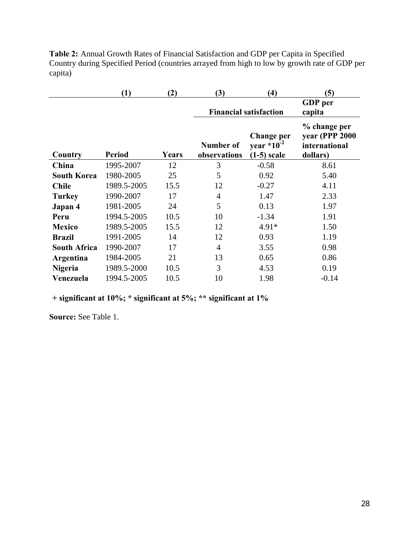|                     | (1)           | (2)   | (3)                       | (4)                                            | (5)                                                         |
|---------------------|---------------|-------|---------------------------|------------------------------------------------|-------------------------------------------------------------|
|                     |               |       |                           | <b>Financial satisfaction</b>                  | <b>GDP</b> per<br>capita                                    |
| Country             | <b>Period</b> | Years | Number of<br>observations | Change per<br>year $*10^{-2}$<br>$(1-5)$ scale | % change per<br>year (PPP 2000<br>international<br>dollars) |
| China               | 1995-2007     | 12    | 3                         | $-0.58$                                        | 8.61                                                        |
| <b>South Korea</b>  | 1980-2005     | 25    | 5                         | 0.92                                           | 5.40                                                        |
| <b>Chile</b>        | 1989.5-2005   | 15.5  | 12                        | $-0.27$                                        | 4.11                                                        |
| <b>Turkey</b>       | 1990-2007     | 17    | $\overline{4}$            | 1.47                                           | 2.33                                                        |
| Japan 4             | 1981-2005     | 24    | 5                         | 0.13                                           | 1.97                                                        |
| Peru                | 1994.5-2005   | 10.5  | 10                        | $-1.34$                                        | 1.91                                                        |
| <b>Mexico</b>       | 1989.5-2005   | 15.5  | 12                        | $4.91*$                                        | 1.50                                                        |
| <b>Brazil</b>       | 1991-2005     | 14    | 12                        | 0.93                                           | 1.19                                                        |
| <b>South Africa</b> | 1990-2007     | 17    | $\overline{4}$            | 3.55                                           | 0.98                                                        |
| Argentina           | 1984-2005     | 21    | 13                        | 0.65                                           | 0.86                                                        |
| <b>Nigeria</b>      | 1989.5-2000   | 10.5  | 3                         | 4.53                                           | 0.19                                                        |
| Venezuela           | 1994.5-2005   | 10.5  | 10                        | 1.98                                           | $-0.14$                                                     |

**Table 2:** Annual Growth Rates of Financial Satisfaction and GDP per Capita in Specified Country during Specified Period (countries arrayed from high to low by growth rate of GDP per capita)

**+ significant at 10%; \* significant at 5%; \*\* significant at 1%**

**Source:** See Table 1.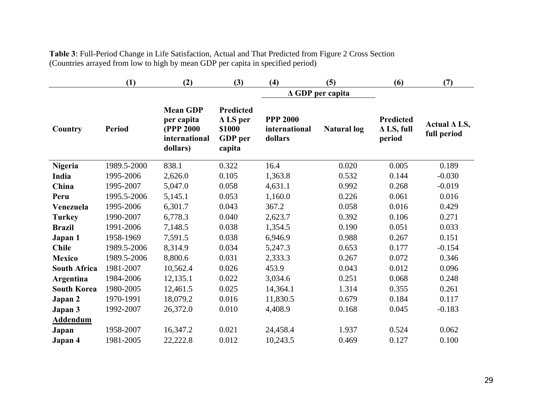|                     | (1)           | (2)                                                                      | (3)                                                                | (4)                                         | (5)                        | (6)                                         | (7)                                   |
|---------------------|---------------|--------------------------------------------------------------------------|--------------------------------------------------------------------|---------------------------------------------|----------------------------|---------------------------------------------|---------------------------------------|
|                     |               |                                                                          |                                                                    |                                             | $\triangle$ GDP per capita |                                             |                                       |
| Country             | <b>Period</b> | <b>Mean GDP</b><br>per capita<br>(PPP 2000)<br>international<br>dollars) | <b>Predicted</b><br>$\Delta$ LS per<br>\$1000<br>GDP per<br>capita | <b>PPP 2000</b><br>international<br>dollars | <b>Natural log</b>         | Predicted<br>$\triangle$ LS, full<br>period | Actual $\triangle$ LS,<br>full period |
| <b>Nigeria</b>      | 1989.5-2000   | 838.1                                                                    | 0.322                                                              | 16.4                                        | 0.020                      | 0.005                                       | 0.189                                 |
| India               | 1995-2006     | 2,626.0                                                                  | 0.105                                                              | 1,363.8                                     | 0.532                      | 0.144                                       | $-0.030$                              |
| China               | 1995-2007     | 5,047.0                                                                  | 0.058                                                              | 4,631.1                                     | 0.992                      | 0.268                                       | $-0.019$                              |
| Peru                | 1995.5-2006   | 5,145.1                                                                  | 0.053                                                              | 1,160.0                                     | 0.226                      | 0.061                                       | 0.016                                 |
| Venezuela           | 1995-2006     | 6,301.7                                                                  | 0.043                                                              | 367.2                                       | 0.058                      | 0.016                                       | 0.429                                 |
| <b>Turkey</b>       | 1990-2007     | 6,778.3                                                                  | 0.040                                                              | 2,623.7                                     | 0.392                      | 0.106                                       | 0.271                                 |
| <b>Brazil</b>       | 1991-2006     | 7,148.5                                                                  | 0.038                                                              | 1,354.5                                     | 0.190                      | 0.051                                       | 0.033                                 |
| Japan 1             | 1958-1969     | 7,591.5                                                                  | 0.038                                                              | 6,946.9                                     | 0.988                      | 0.267                                       | 0.151                                 |
| <b>Chile</b>        | 1989.5-2006   | 8,314.9                                                                  | 0.034                                                              | 5,247.3                                     | 0.653                      | 0.177                                       | $-0.154$                              |
| <b>Mexico</b>       | 1989.5-2006   | 8,800.6                                                                  | 0.031                                                              | 2,333.3                                     | 0.267                      | 0.072                                       | 0.346                                 |
| <b>South Africa</b> | 1981-2007     | 10,562.4                                                                 | 0.026                                                              | 453.9                                       | 0.043                      | 0.012                                       | 0.096                                 |
| Argentina           | 1984-2006     | 12,135.1                                                                 | 0.022                                                              | 3,034.6                                     | 0.251                      | 0.068                                       | 0.248                                 |
| <b>South Korea</b>  | 1980-2005     | 12,461.5                                                                 | 0.025                                                              | 14,364.1                                    | 1.314                      | 0.355                                       | 0.261                                 |
| Japan 2             | 1970-1991     | 18,079.2                                                                 | 0.016                                                              | 11,830.5                                    | 0.679                      | 0.184                                       | 0.117                                 |
| Japan 3             | 1992-2007     | 26,372.0                                                                 | 0.010                                                              | 4,408.9                                     | 0.168                      | 0.045                                       | $-0.183$                              |
| <b>Addendum</b>     |               |                                                                          |                                                                    |                                             |                            |                                             |                                       |
| Japan               | 1958-2007     | 16,347.2                                                                 | 0.021                                                              | 24,458.4                                    | 1.937                      | 0.524                                       | 0.062                                 |
| Japan 4             | 1981-2005     | 22,222.8                                                                 | 0.012                                                              | 10,243.5                                    | 0.469                      | 0.127                                       | 0.100                                 |

**Table 3**: Full-Period Change in Life Satisfaction, Actual and That Predicted from Figure 2 Cross Section (Countries arrayed from low to high by mean GDP per capita in specified period)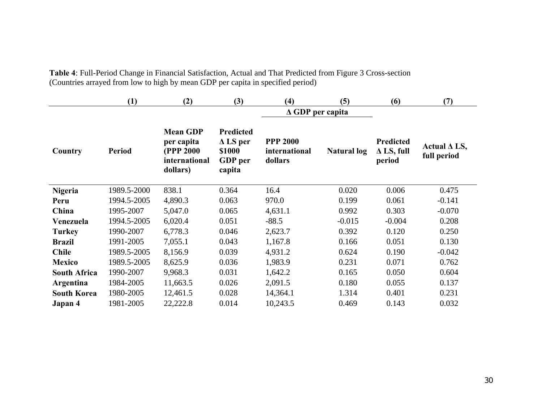**Table 4**: Full-Period Change in Financial Satisfaction, Actual and That Predicted from Figure 3 Cross-section (Countries arrayed from low to high by mean GDP per capita in specified period)

|                     | (1)           | (2)                                                                      | (3)                                                                | (4)                                         | (5)                | (6)                                      | (7)                                   |
|---------------------|---------------|--------------------------------------------------------------------------|--------------------------------------------------------------------|---------------------------------------------|--------------------|------------------------------------------|---------------------------------------|
|                     |               |                                                                          |                                                                    | $\triangle$ GDP per capita                  |                    |                                          |                                       |
| Country             | <b>Period</b> | <b>Mean GDP</b><br>per capita<br>(PPP 2000)<br>international<br>dollars) | <b>Predicted</b><br>$\Delta$ LS per<br>\$1000<br>GDP per<br>capita | <b>PPP 2000</b><br>international<br>dollars | <b>Natural log</b> | Predicted<br>$\Delta$ LS, full<br>period | Actual $\triangle$ LS,<br>full period |
| <b>Nigeria</b>      | 1989.5-2000   | 838.1                                                                    | 0.364                                                              | 16.4                                        | 0.020              | 0.006                                    | 0.475                                 |
| Peru                | 1994.5-2005   | 4,890.3                                                                  | 0.063                                                              | 970.0                                       | 0.199              | 0.061                                    | $-0.141$                              |
| China               | 1995-2007     | 5,047.0                                                                  | 0.065                                                              | 4,631.1                                     | 0.992              | 0.303                                    | $-0.070$                              |
| Venezuela           | 1994.5-2005   | 6,020.4                                                                  | 0.051                                                              | $-88.5$                                     | $-0.015$           | $-0.004$                                 | 0.208                                 |
| <b>Turkey</b>       | 1990-2007     | 6,778.3                                                                  | 0.046                                                              | 2,623.7                                     | 0.392              | 0.120                                    | 0.250                                 |
| <b>Brazil</b>       | 1991-2005     | 7,055.1                                                                  | 0.043                                                              | 1,167.8                                     | 0.166              | 0.051                                    | 0.130                                 |
| <b>Chile</b>        | 1989.5-2005   | 8,156.9                                                                  | 0.039                                                              | 4,931.2                                     | 0.624              | 0.190                                    | $-0.042$                              |
| <b>Mexico</b>       | 1989.5-2005   | 8,625.9                                                                  | 0.036                                                              | 1,983.9                                     | 0.231              | 0.071                                    | 0.762                                 |
| <b>South Africa</b> | 1990-2007     | 9,968.3                                                                  | 0.031                                                              | 1,642.2                                     | 0.165              | 0.050                                    | 0.604                                 |
| Argentina           | 1984-2005     | 11,663.5                                                                 | 0.026                                                              | 2,091.5                                     | 0.180              | 0.055                                    | 0.137                                 |
| <b>South Korea</b>  | 1980-2005     | 12,461.5                                                                 | 0.028                                                              | 14,364.1                                    | 1.314              | 0.401                                    | 0.231                                 |
| Japan 4             | 1981-2005     | 22,222.8                                                                 | 0.014                                                              | 10,243.5                                    | 0.469              | 0.143                                    | 0.032                                 |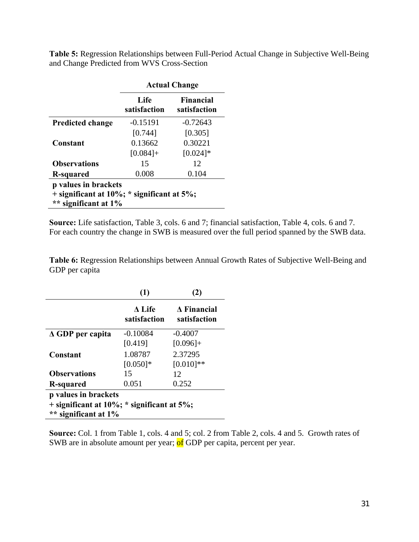| Table 5: Regression Relationships between Full-Period Actual Change in Subjective Well-Being |  |
|----------------------------------------------------------------------------------------------|--|
| and Change Predicted from WVS Cross-Section                                                  |  |

|                                                | <b>Actual Change</b> |                           |  |  |  |
|------------------------------------------------|----------------------|---------------------------|--|--|--|
|                                                | Life<br>satisfaction | Financial<br>satisfaction |  |  |  |
| <b>Predicted change</b>                        | -0.15191             | $-0.72643$                |  |  |  |
|                                                | [0.744]              | [0.305]                   |  |  |  |
| Constant                                       | 0.13662              | 0.30221                   |  |  |  |
|                                                | $[0.084] +$          | $[0.024]$ *               |  |  |  |
| <b>Observations</b>                            | 15                   | 12                        |  |  |  |
| R-squared                                      | 0.008                | 0.104                     |  |  |  |
| p values in brackets                           |                      |                           |  |  |  |
| $+$ significant at 10%; $*$ significant at 5%; |                      |                           |  |  |  |
| ** significant at 1%                           |                      |                           |  |  |  |

**Source:** Life satisfaction, Table 3, cols. 6 and 7; financial satisfaction, Table 4, cols. 6 and 7. For each country the change in SWB is measured over the full period spanned by the SWB data.

**Table 6:** Regression Relationships between Annual Growth Rates of Subjective Well-Being and GDP per capita

|                                                | $\left(1\right)$       | (2)                         |  |  |  |  |
|------------------------------------------------|------------------------|-----------------------------|--|--|--|--|
|                                                | A Life<br>satisfaction | A Financial<br>satisfaction |  |  |  |  |
| $\Delta$ GDP per capita                        | $-0.10084$             | $-0.4007$                   |  |  |  |  |
|                                                | [0.419]                | $[0.096]+$                  |  |  |  |  |
| Constant                                       | 1.08787                | 2.37295                     |  |  |  |  |
|                                                | $[0.050]$ *            | $[0.010]$ **                |  |  |  |  |
| <b>Observations</b>                            | 15                     | 12                          |  |  |  |  |
| R-squared                                      | 0.051                  | 0.252                       |  |  |  |  |
| p values in brackets                           |                        |                             |  |  |  |  |
| $+$ significant at 10%; $*$ significant at 5%; |                        |                             |  |  |  |  |
| ** significant at 1%                           |                        |                             |  |  |  |  |

**Source:** Col. 1 from Table 1, cols. 4 and 5; col. 2 from Table 2, cols. 4 and 5. Growth rates of SWB are in absolute amount per year; of GDP per capita, percent per year.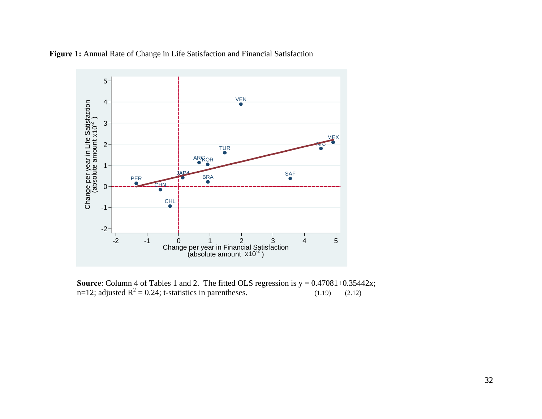

**Figure 1:** Annual Rate of Change in Life Satisfaction and Financial Satisfaction

**Source**: Column 4 of Tables 1 and 2. The fitted OLS regression is y = 0.47081+0.35442x; n=12; adjusted  $R^2 = 0.24$ ; t-statistics in parentheses. (1.19) (2.12)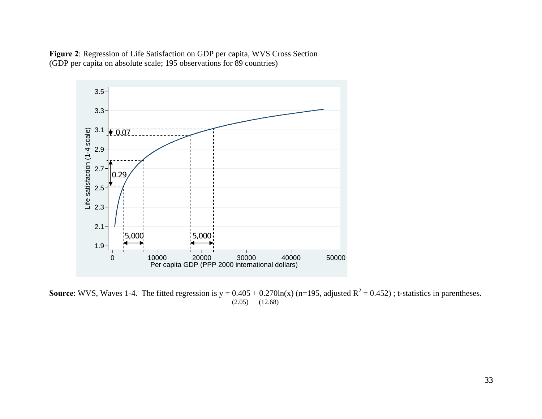

**Figure 2**: Regression of Life Satisfaction on GDP per capita, WVS Cross Section (GDP per capita on absolute scale; 195 observations for 89 countries)

**Source**: WVS, Waves 1-4. The fitted regression is  $y = 0.405 + 0.270\ln(x)$  (n=195, adjusted  $R^2 = 0.452$ ); t-statistics in parentheses.<br>(2.05) (12.68)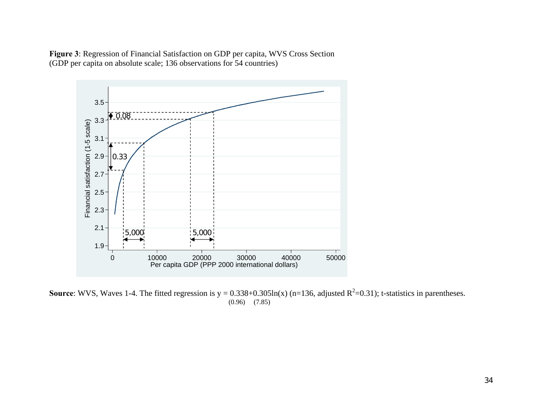



**Source:** WVS, Waves 1-4. The fitted regression is  $y = 0.338+0.305\ln(x)$  (n=136, adjusted  $R^2=0.31$ ); t-statistics in parentheses. (0.96) (7.85)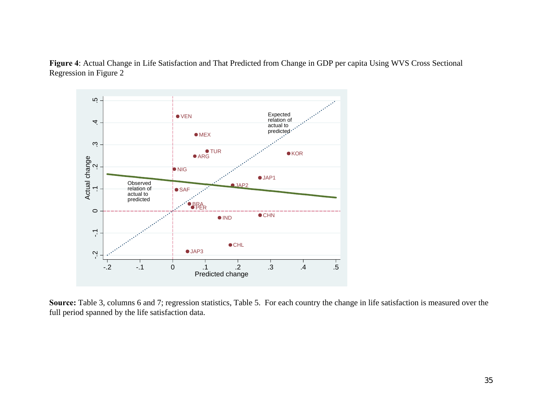**Figure 4**: Actual Change in Life Satisfaction and That Predicted from Change in GDP per capita Using WVS Cross Sectional Regression in Figure 2



**Source:** Table 3, columns 6 and 7; regression statistics, Table 5. For each country the change in life satisfaction is measured over the full period spanned by the life satisfaction data.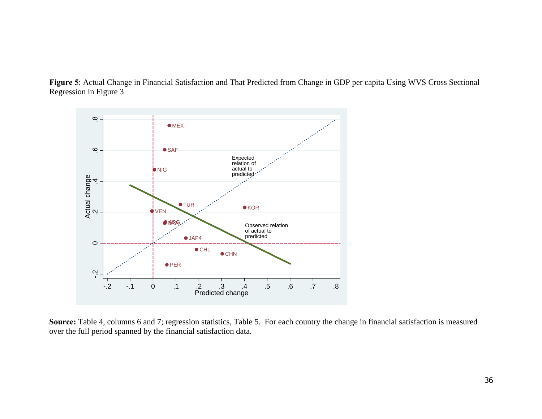



**Source:** Table 4, columns 6 and 7; regression statistics, Table 5. For each country the change in financial satisfaction is measured over the full period spanned by the financial satisfaction data.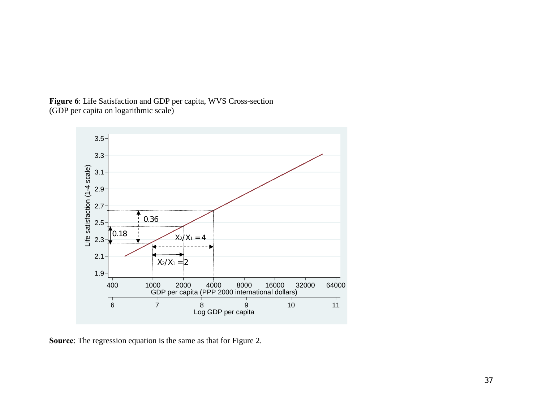**Figure 6**: Life Satisfaction and GDP per capita, WVS Cross-section (GDP per capita on logarithmic scale)



**Source**: The regression equation is the same as that for Figure 2.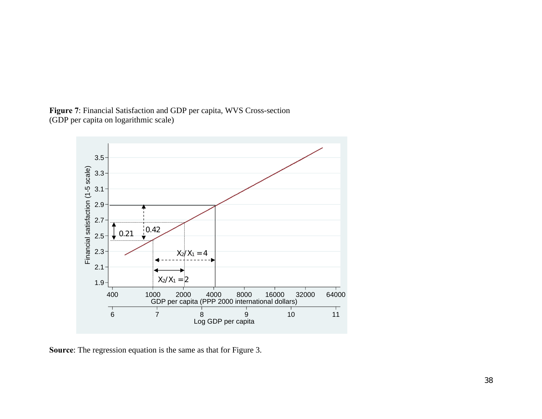



**Source**: The regression equation is the same as that for Figure 3.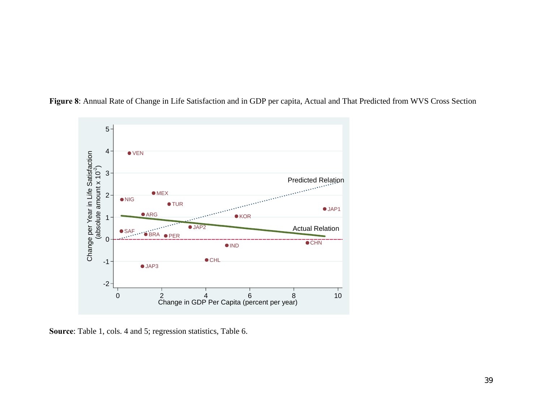

**Figure 8**: Annual Rate of Change in Life Satisfaction and in GDP per capita, Actual and That Predicted from WVS Cross Section

**Source**: Table 1, cols. 4 and 5; regression statistics, Table 6.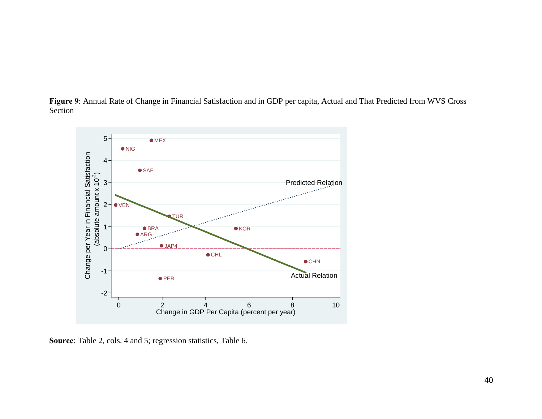



**Source**: Table 2, cols. 4 and 5; regression statistics, Table 6.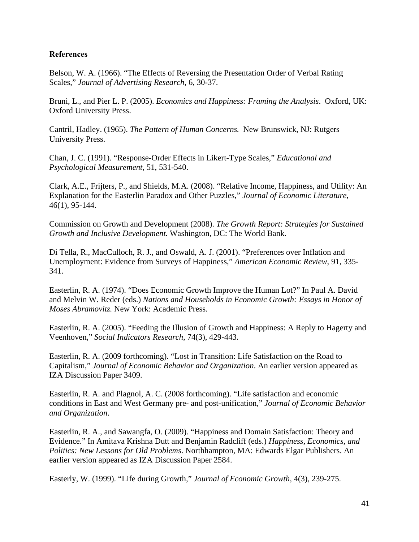#### **References**

Belson, W. A. (1966). "The Effects of Reversing the Presentation Order of Verbal Rating Scales," *Journal of Advertising Research*, 6, 30-37.

Bruni, L., and Pier L. P. (2005). *Economics and Happiness: Framing the Analysis*. Oxford, UK: Oxford University Press.

Cantril, Hadley. (1965). *The Pattern of Human Concerns.* New Brunswick, NJ: Rutgers University Press.

Chan, J. C. (1991). "Response-Order Effects in Likert-Type Scales," *Educational and Psychological Measurement,* 51, 531-540.

Clark, A.E., Frijters, P., and Shields, M.A. (2008). "Relative Income, Happiness, and Utility: An Explanation for the Easterlin Paradox and Other Puzzles," *Journal of Economic Literature*, 46(1), 95-144.

Commission on Growth and Development (2008). *The Growth Report: Strategies for Sustained Growth and Inclusive Development.* Washington, DC: The World Bank.

Di Tella, R., MacCulloch, R. J., and Oswald, A. J. (2001). "Preferences over Inflation and Unemployment: Evidence from Surveys of Happiness," *American Economic Review*, 91, 335- 341.

Easterlin, R. A. (1974). "Does Economic Growth Improve the Human Lot?" In Paul A. David and Melvin W. Reder (eds.) *Nations and Households in Economic Growth: Essays in Honor of Moses Abramovitz.* New York: Academic Press.

Easterlin, R. A. (2005). "Feeding the Illusion of Growth and Happiness: A Reply to Hagerty and Veenhoven," *Social Indicators Research*, 74(3), 429-443.

Easterlin, R. A. (2009 forthcoming). "Lost in Transition: Life Satisfaction on the Road to Capitalism," *Journal of Economic Behavior and Organization*. An earlier version appeared as IZA Discussion Paper 3409.

Easterlin, R. A. and Plagnol, A. C. (2008 forthcoming). "Life satisfaction and economic conditions in East and West Germany pre- and post-unification," *Journal of Economic Behavior and Organization*.

Easterlin, R. A., and Sawangfa, O. (2009). "Happiness and Domain Satisfaction: Theory and Evidence." In Amitava Krishna Dutt and Benjamin Radcliff (eds.) *Happiness, Economics, and Politics: New Lessons for Old Problems*. Northhampton, MA: Edwards Elgar Publishers. An earlier version appeared as IZA Discussion Paper 2584.

Easterly, W. (1999). "Life during Growth," *Journal of Economic Growth*, 4(3), 239-275.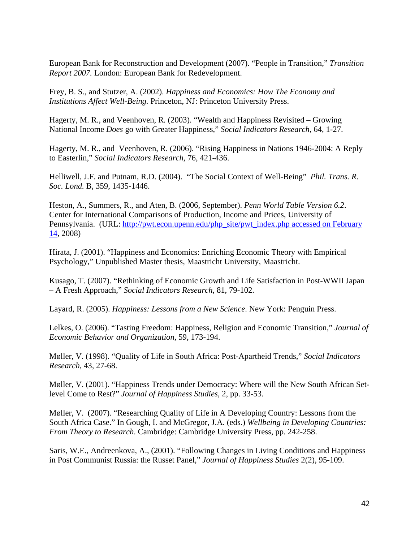European Bank for Reconstruction and Development (2007). "People in Transition," *Transition Report 2007.* London: European Bank for Redevelopment.

Frey, B. S., and Stutzer, A. (2002). *Happiness and Economics: How The Economy and Institutions Affect Well-Being.* Princeton, NJ: Princeton University Press.

Hagerty, M. R., and Veenhoven, R. (2003). "Wealth and Happiness Revisited – Growing National Income *Does* go with Greater Happiness," *Social Indicators Research*, 64, 1-27.

Hagerty, M. R., and Veenhoven, R. (2006). "Rising Happiness in Nations 1946-2004: A Reply to Easterlin," *Social Indicators Research*, 76, 421-436.

Helliwell, J.F. and Putnam, R.D. (2004). "The Social Context of Well-Being" *Phil. Trans. R. Soc. Lond.* B, 359, 1435-1446.

Heston, A., Summers, R., and Aten, B. (2006, September). *Penn World Table Version 6.2*. Center for International Comparisons of Production, Income and Prices, University of Pennsylvania. (URL: http://pwt.econ.upenn.edu/php\_site/pwt\_index.php accessed on February 14, 2008)

Hirata, J. (2001). "Happiness and Economics: Enriching Economic Theory with Empirical Psychology," Unpublished Master thesis, Maastricht University, Maastricht.

Kusago, T. (2007). "Rethinking of Economic Growth and Life Satisfaction in Post-WWII Japan – A Fresh Approach," *Social Indicators Research*, 81, 79-102.

Layard, R. (2005). *Happiness: Lessons from a New Science*. New York: Penguin Press.

Lelkes, O. (2006). "Tasting Freedom: Happiness, Religion and Economic Transition," *Journal of Economic Behavior and Organization*, 59, 173-194.

Møller, V. (1998). "Quality of Life in South Africa: Post-Apartheid Trends," *Social Indicators Research*, 43, 27-68.

Møller, V. (2001). "Happiness Trends under Democracy: Where will the New South African Setlevel Come to Rest?" *Journal of Happiness Studies*, 2, pp. 33-53.

Møller, V. (2007). "Researching Quality of Life in A Developing Country: Lessons from the South Africa Case." In Gough, I. and McGregor, J.A. (eds.) *Wellbeing in Developing Countries: From Theory to Research*. Cambridge: Cambridge University Press, pp. 242-258.

Saris, W.E., Andreenkova, A., (2001). "Following Changes in Living Conditions and Happiness in Post Communist Russia: the Russet Panel," *Journal of Happiness Studies* 2(2), 95-109.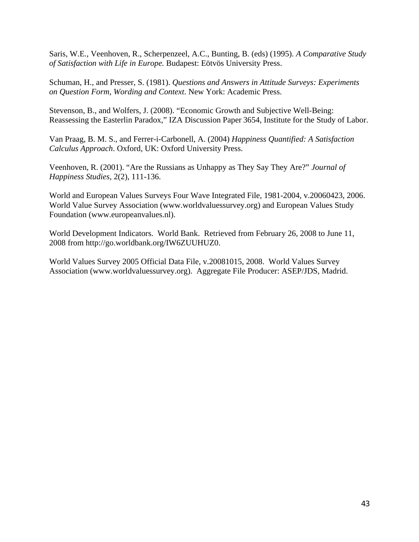Saris, W.E., Veenhoven, R., Scherpenzeel, A.C., Bunting, B. (eds) (1995). *A Comparative Study of Satisfaction with Life in Europe.* Budapest: Eötvös University Press.

Schuman, H., and Presser, S. (1981). *Questions and Answers in Attitude Surveys: Experiments on Question Form, Wording and Context*. New York: Academic Press.

Stevenson, B., and Wolfers, J. (2008). "Economic Growth and Subjective Well-Being: Reassessing the Easterlin Paradox," IZA Discussion Paper 3654, Institute for the Study of Labor.

Van Praag, B. M. S., and Ferrer-i-Carbonell, A. (2004) *Happiness Quantified: A Satisfaction Calculus Approach*. Oxford, UK: Oxford University Press.

Veenhoven, R. (2001). "Are the Russians as Unhappy as They Say They Are?" *Journal of Happiness Studies,* 2(2), 111-136.

World and European Values Surveys Four Wave Integrated File, 1981-2004, v.20060423, 2006. World Value Survey Association (www.worldvaluessurvey.org) and European Values Study Foundation (www.europeanvalues.nl).

World Development Indicators. World Bank. Retrieved from February 26, 2008 to June 11, 2008 from http://go.worldbank.org/IW6ZUUHUZ0.

World Values Survey 2005 Official Data File, v.20081015, 2008. World Values Survey Association (www.worldvaluessurvey.org). Aggregate File Producer: ASEP/JDS, Madrid.